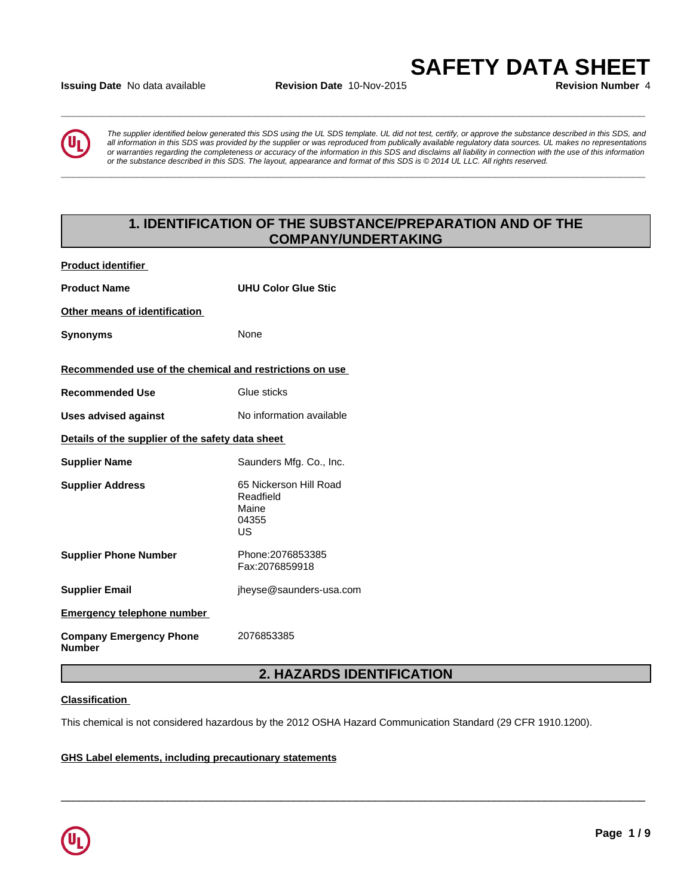## **Issuing Date** No data available **Revision Date** 10-Nov-2015 **Revision Number** 4

**\_\_\_\_\_\_\_\_\_\_\_\_\_\_\_\_\_\_\_\_\_\_\_\_\_\_\_\_\_\_\_\_\_\_\_\_\_\_\_\_\_\_\_\_\_\_\_\_\_\_\_\_\_\_\_\_\_\_\_\_\_\_\_\_\_\_\_\_\_\_\_\_\_\_\_\_\_\_\_\_\_\_\_\_\_\_\_\_\_\_\_\_\_**

**\_\_\_\_\_\_\_\_\_\_\_\_\_\_\_\_\_\_\_\_\_\_\_\_\_\_\_\_\_\_\_\_\_\_\_\_\_\_\_\_\_\_\_\_\_\_\_\_\_\_\_\_\_\_\_\_\_\_\_\_\_\_\_\_\_\_\_\_\_\_\_\_\_\_\_\_\_\_\_\_\_\_\_\_\_\_\_\_\_\_\_\_\_**



*The supplier identified below generated this SDS using the UL SDS template. UL did not test, certify, or approve the substance described in this SDS, and all information in this SDS was provided by the supplier or was reproduced from publically available regulatory data sources. UL makes no representations or warranties regarding the completeness or accuracy of the information in this SDS and disclaims all liability in connection with the use of this information* ate No data available<br>The supplier identified below generated this SDS using the UL SDS template. UL did not test, certify, or approve the substance described in this SDS, and<br>all information in this SDS was provided by th

# **1. IDENTIFICATION OF THE SUBSTANCE/PREPARATION AND OF THE COMPANY/UNDERTAKING**

| <b>Product identifier</b>                               |                                                             |
|---------------------------------------------------------|-------------------------------------------------------------|
| <b>Product Name</b>                                     | <b>UHU Color Glue Stic</b>                                  |
| Other means of identification                           |                                                             |
| <b>Synonyms</b>                                         | None                                                        |
| Recommended use of the chemical and restrictions on use |                                                             |
| <b>Recommended Use</b>                                  | Glue sticks                                                 |
| <b>Uses advised against</b>                             | No information available                                    |
| Details of the supplier of the safety data sheet        |                                                             |
| <b>Supplier Name</b>                                    | Saunders Mfg. Co., Inc.                                     |
| <b>Supplier Address</b>                                 | 65 Nickerson Hill Road<br>Readfield<br>Maine<br>04355<br>US |
| <b>Supplier Phone Number</b>                            | Phone: 2076853385<br>Fax:2076859918                         |
| <b>Supplier Email</b>                                   | jheyse@saunders-usa.com                                     |
| <b>Emergency telephone number</b>                       |                                                             |
| <b>Company Emergency Phone</b><br><b>Number</b>         | 2076853385                                                  |

# **2. HAZARDS IDENTIFICATION**

 $\overline{\phantom{a}}$  ,  $\overline{\phantom{a}}$  ,  $\overline{\phantom{a}}$  ,  $\overline{\phantom{a}}$  ,  $\overline{\phantom{a}}$  ,  $\overline{\phantom{a}}$  ,  $\overline{\phantom{a}}$  ,  $\overline{\phantom{a}}$  ,  $\overline{\phantom{a}}$  ,  $\overline{\phantom{a}}$  ,  $\overline{\phantom{a}}$  ,  $\overline{\phantom{a}}$  ,  $\overline{\phantom{a}}$  ,  $\overline{\phantom{a}}$  ,  $\overline{\phantom{a}}$  ,  $\overline{\phantom{a}}$ 

## **Classification**

This chemical is not considered hazardous by the 2012 OSHA Hazard Communication Standard (29 CFR 1910.1200).

#### **GHS Label elements, including precautionary statements**

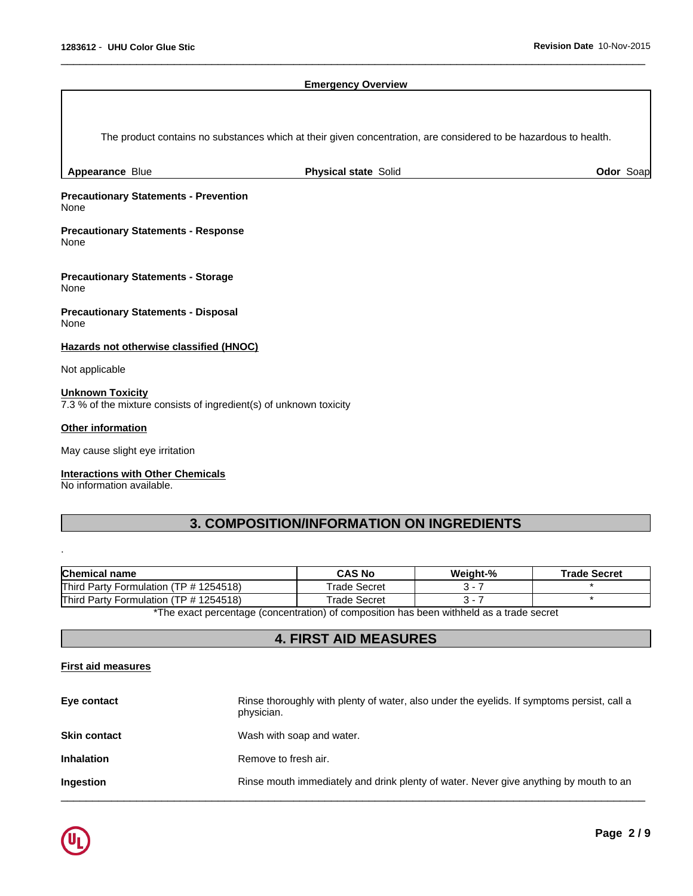#### **Emergency Overview**

 $\overline{\phantom{a}}$  ,  $\overline{\phantom{a}}$  ,  $\overline{\phantom{a}}$  ,  $\overline{\phantom{a}}$  ,  $\overline{\phantom{a}}$  ,  $\overline{\phantom{a}}$  ,  $\overline{\phantom{a}}$  ,  $\overline{\phantom{a}}$  ,  $\overline{\phantom{a}}$  ,  $\overline{\phantom{a}}$  ,  $\overline{\phantom{a}}$  ,  $\overline{\phantom{a}}$  ,  $\overline{\phantom{a}}$  ,  $\overline{\phantom{a}}$  ,  $\overline{\phantom{a}}$  ,  $\overline{\phantom{a}}$ 

The product contains no substances which at their given concentration, are considered to be hazardous to health.

**Appearance** Blue **Physical state** Solid **Odor** Soap

**Precautionary Statements - Prevention** None

**Precautionary Statements - Response** None

**Precautionary Statements - Storage** None

**Precautionary Statements - Disposal** None

**Hazards not otherwise classified (HNOC)**

Not applicable

## **Unknown Toxicity**

7.3 % of the mixture consists of ingredient(s) of unknown toxicity

#### **Other information**

.

May cause slight eye irritation

#### **Interactions with Other Chemicals**

No information available.

# **3. COMPOSITION/INFORMATION ON INGREDIENTS**

| <b>Chemical name</b>                                                                    | <b>CAS No</b>       | Weiaht-% | <b>Trade Secret</b> |
|-----------------------------------------------------------------------------------------|---------------------|----------|---------------------|
| Third Party Formulation (TP # 1254518)                                                  | Trade Secret        |          |                     |
| Third Party Formulation (TP # 1254518)                                                  | <b>Trade Secret</b> |          |                     |
| the exect perceptage (conceptration) of composition has been withheld as a trade secret |                     |          |                     |

The exact percentage (concentration) of composition has been withheld as a trade secret

# **4. FIRST AID MEASURES**

# **First aid measures**

| Eye contact         | Rinse thoroughly with plenty of water, also under the eyelids. If symptoms persist, call a<br>physician. |
|---------------------|----------------------------------------------------------------------------------------------------------|
| <b>Skin contact</b> | Wash with soap and water.                                                                                |
| <b>Inhalation</b>   | Remove to fresh air.                                                                                     |
| <b>Ingestion</b>    | Rinse mouth immediately and drink plenty of water. Never give anything by mouth to an                    |
|                     |                                                                                                          |

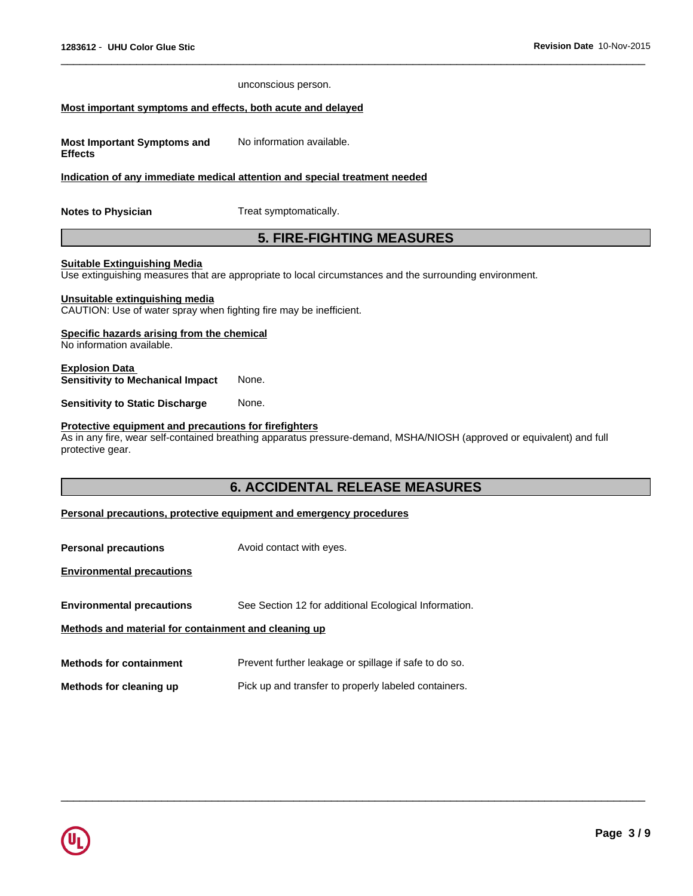|                                                                                                      | unconscious person.                                                                                                   |
|------------------------------------------------------------------------------------------------------|-----------------------------------------------------------------------------------------------------------------------|
| Most important symptoms and effects, both acute and delayed                                          |                                                                                                                       |
| <b>Most Important Symptoms and</b><br><b>Effects</b>                                                 | No information available.                                                                                             |
|                                                                                                      | Indication of any immediate medical attention and special treatment needed                                            |
| <b>Notes to Physician</b>                                                                            | Treat symptomatically.                                                                                                |
|                                                                                                      | <b>5. FIRE-FIGHTING MEASURES</b>                                                                                      |
| <b>Suitable Extinguishing Media</b>                                                                  | Use extinguishing measures that are appropriate to local circumstances and the surrounding environment.               |
| Unsuitable extinguishing media<br>CAUTION: Use of water spray when fighting fire may be inefficient. |                                                                                                                       |
| Specific hazards arising from the chemical<br>No information available.                              |                                                                                                                       |
| <b>Explosion Data</b><br><b>Sensitivity to Mechanical Impact</b>                                     | None.                                                                                                                 |
| <b>Sensitivity to Static Discharge</b>                                                               | None.                                                                                                                 |
| Protective equipment and precautions for firefighters<br>protective gear.                            | As in any fire, wear self-contained breathing apparatus pressure-demand, MSHA/NIOSH (approved or equivalent) and full |
|                                                                                                      | <b>6. ACCIDENTAL RELEASE MEASURES</b>                                                                                 |
|                                                                                                      | Personal precautions, protective equipment and emergency procedures                                                   |
| <b>Personal precautions</b>                                                                          | Avoid contact with eyes.                                                                                              |
| <b>Environmental precautions</b>                                                                     |                                                                                                                       |
| <b>Environmental precautions</b>                                                                     | See Section 12 for additional Ecological Information.                                                                 |
| Methods and material for containment and cleaning up                                                 |                                                                                                                       |
| <b>Methods for containment</b>                                                                       | Prevent further leakage or spillage if safe to do so.                                                                 |
| Methods for cleaning up                                                                              | Pick up and transfer to properly labeled containers.                                                                  |
|                                                                                                      |                                                                                                                       |

 $\overline{\phantom{a}}$  ,  $\overline{\phantom{a}}$  ,  $\overline{\phantom{a}}$  ,  $\overline{\phantom{a}}$  ,  $\overline{\phantom{a}}$  ,  $\overline{\phantom{a}}$  ,  $\overline{\phantom{a}}$  ,  $\overline{\phantom{a}}$  ,  $\overline{\phantom{a}}$  ,  $\overline{\phantom{a}}$  ,  $\overline{\phantom{a}}$  ,  $\overline{\phantom{a}}$  ,  $\overline{\phantom{a}}$  ,  $\overline{\phantom{a}}$  ,  $\overline{\phantom{a}}$  ,  $\overline{\phantom{a}}$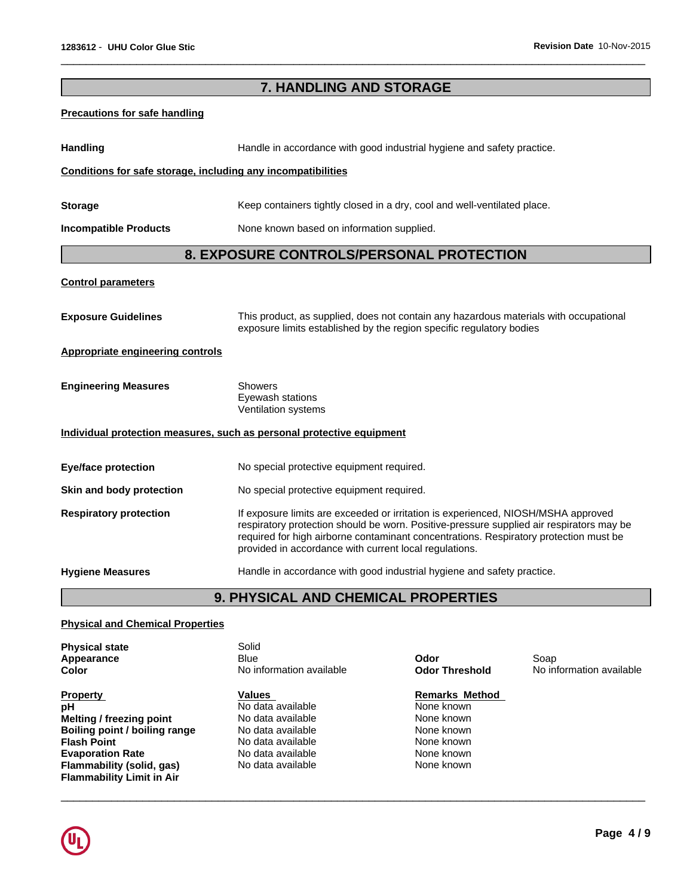|                                                              | 7. HANDLING AND STORAGE                                                                                                                                                                                                                                                                                                          |
|--------------------------------------------------------------|----------------------------------------------------------------------------------------------------------------------------------------------------------------------------------------------------------------------------------------------------------------------------------------------------------------------------------|
| <b>Precautions for safe handling</b>                         |                                                                                                                                                                                                                                                                                                                                  |
| Handling                                                     | Handle in accordance with good industrial hygiene and safety practice.                                                                                                                                                                                                                                                           |
| Conditions for safe storage, including any incompatibilities |                                                                                                                                                                                                                                                                                                                                  |
| <b>Storage</b>                                               | Keep containers tightly closed in a dry, cool and well-ventilated place.                                                                                                                                                                                                                                                         |
| <b>Incompatible Products</b>                                 | None known based on information supplied.                                                                                                                                                                                                                                                                                        |
|                                                              | 8. EXPOSURE CONTROLS/PERSONAL PROTECTION                                                                                                                                                                                                                                                                                         |
| <b>Control parameters</b>                                    |                                                                                                                                                                                                                                                                                                                                  |
| <b>Exposure Guidelines</b>                                   | This product, as supplied, does not contain any hazardous materials with occupational<br>exposure limits established by the region specific regulatory bodies                                                                                                                                                                    |
| Appropriate engineering controls                             |                                                                                                                                                                                                                                                                                                                                  |
| <b>Engineering Measures</b>                                  | <b>Showers</b><br>Eyewash stations<br>Ventilation systems                                                                                                                                                                                                                                                                        |
|                                                              | Individual protection measures, such as personal protective equipment                                                                                                                                                                                                                                                            |
| <b>Eye/face protection</b>                                   | No special protective equipment required.                                                                                                                                                                                                                                                                                        |
| Skin and body protection                                     | No special protective equipment required.                                                                                                                                                                                                                                                                                        |
| <b>Respiratory protection</b>                                | If exposure limits are exceeded or irritation is experienced, NIOSH/MSHA approved<br>respiratory protection should be worn. Positive-pressure supplied air respirators may be<br>required for high airborne contaminant concentrations. Respiratory protection must be<br>provided in accordance with current local regulations. |
| <b>Hygiene Measures</b>                                      | Handle in accordance with good industrial hygiene and safety practice.                                                                                                                                                                                                                                                           |
|                                                              | 9. PHYSICAL AND CHEMICAL PROPERTIES                                                                                                                                                                                                                                                                                              |

 $\overline{\phantom{a}}$  ,  $\overline{\phantom{a}}$  ,  $\overline{\phantom{a}}$  ,  $\overline{\phantom{a}}$  ,  $\overline{\phantom{a}}$  ,  $\overline{\phantom{a}}$  ,  $\overline{\phantom{a}}$  ,  $\overline{\phantom{a}}$  ,  $\overline{\phantom{a}}$  ,  $\overline{\phantom{a}}$  ,  $\overline{\phantom{a}}$  ,  $\overline{\phantom{a}}$  ,  $\overline{\phantom{a}}$  ,  $\overline{\phantom{a}}$  ,  $\overline{\phantom{a}}$  ,  $\overline{\phantom{a}}$ 

## **Physical and Chemical Properties**

| <b>Remarks Method</b><br>Values<br><b>Property</b><br>No data available<br>рH<br>None known<br>Melting / freezing point<br>No data available<br>None known<br>Boiling point / boiling range<br>No data available<br>None known<br>No data available<br>None known<br><b>Flash Point</b><br>No data available<br>None known<br><b>Evaporation Rate</b><br>No data available<br>None known<br>Flammability (solid, gas) | <b>Physical state</b><br>Appearance<br>Color | Solid<br>Blue<br>No information available | Odor<br><b>Odor Threshold</b> | Soap<br>No information available |
|-----------------------------------------------------------------------------------------------------------------------------------------------------------------------------------------------------------------------------------------------------------------------------------------------------------------------------------------------------------------------------------------------------------------------|----------------------------------------------|-------------------------------------------|-------------------------------|----------------------------------|
| <b>Flammability Limit in Air</b>                                                                                                                                                                                                                                                                                                                                                                                      |                                              |                                           |                               |                                  |

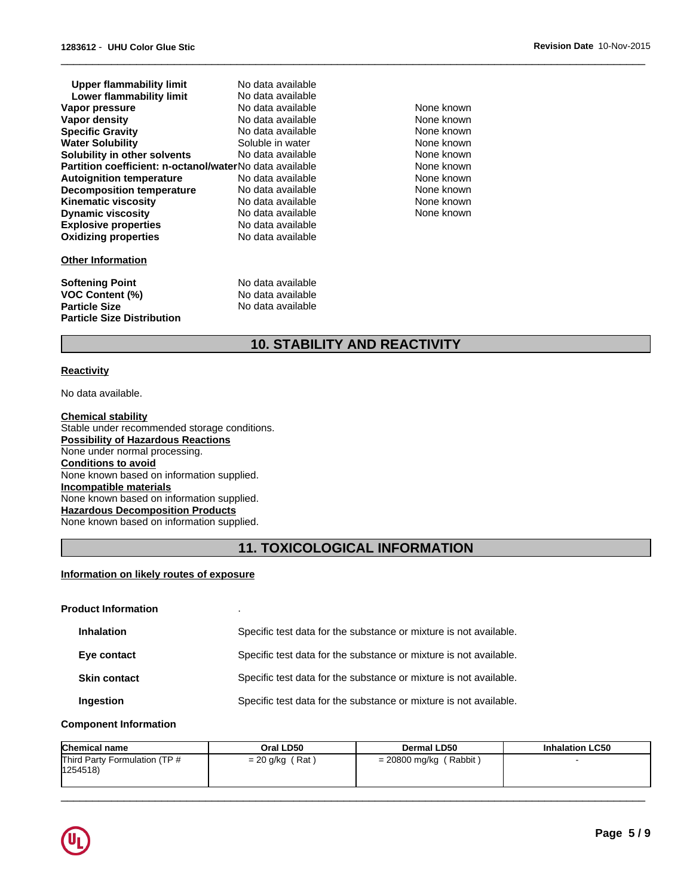| Upper flammability limit                                       | No data available |    |
|----------------------------------------------------------------|-------------------|----|
| Lower flammability limit                                       | No data available |    |
| Vapor pressure                                                 | No data available | N٥ |
| Vapor density                                                  | No data available | N٥ |
| <b>Specific Gravity</b>                                        | No data available | N٥ |
| <b>Water Solubility</b>                                        | Soluble in water  | N٥ |
| Solubility in other solvents                                   | No data available | N  |
| <b>Partition coefficient: n-octanol/waterNo data available</b> |                   | N٥ |
| <b>Autoignition temperature</b>                                | No data available | N٥ |
| <b>Decomposition temperature</b>                               | No data available | N  |
| <b>Kinematic viscosity</b>                                     | No data available | N٥ |
| <b>Dynamic viscosity</b>                                       | No data available | N٥ |
| <b>Explosive properties</b>                                    | No data available |    |
| <b>Oxidizing properties</b>                                    | No data available |    |
| <b>Other Information</b>                                       |                   |    |
| <b>Softening Point</b>                                         | No data available |    |
| <b>VOC Content (%)</b>                                         | No data available |    |
| <b>Particle Size</b>                                           | No data available |    |

None known **None known** None known None known None known **None known** None known None known **None known** None known

 $\overline{\phantom{a}}$  ,  $\overline{\phantom{a}}$  ,  $\overline{\phantom{a}}$  ,  $\overline{\phantom{a}}$  ,  $\overline{\phantom{a}}$  ,  $\overline{\phantom{a}}$  ,  $\overline{\phantom{a}}$  ,  $\overline{\phantom{a}}$  ,  $\overline{\phantom{a}}$  ,  $\overline{\phantom{a}}$  ,  $\overline{\phantom{a}}$  ,  $\overline{\phantom{a}}$  ,  $\overline{\phantom{a}}$  ,  $\overline{\phantom{a}}$  ,  $\overline{\phantom{a}}$  ,  $\overline{\phantom{a}}$ 

# **10. STABILITY AND REACTIVITY**

#### **Reactivity**

No data available.

**Particle Size Distribution**

**Chemical stability** Stable under recommended storage conditions. **Possibility of Hazardous Reactions** None under normal processing. **Conditions to avoid** None known based on information supplied. **Incompatible materials** None known based on information supplied. **Hazardous Decomposition Products** None known based on information supplied.

# **11. TOXICOLOGICAL INFORMATION**

#### **Information on likely routes of exposure**

| <b>Product Information</b> |                                                                   |
|----------------------------|-------------------------------------------------------------------|
| <b>Inhalation</b>          | Specific test data for the substance or mixture is not available. |
| Eye contact                | Specific test data for the substance or mixture is not available. |
| <b>Skin contact</b>        | Specific test data for the substance or mixture is not available. |
| Ingestion                  | Specific test data for the substance or mixture is not available. |

#### **Component Information**

| <b>Chemical name</b>                      | Oral LD50         | <b>Dermal LD50</b>       | <b>Inhalation LC50</b> |
|-------------------------------------------|-------------------|--------------------------|------------------------|
| Third Party Formulation (TP #<br>1254518) | $= 20$ g/kg (Rat) | $= 20800$ mg/kg (Rabbit) |                        |

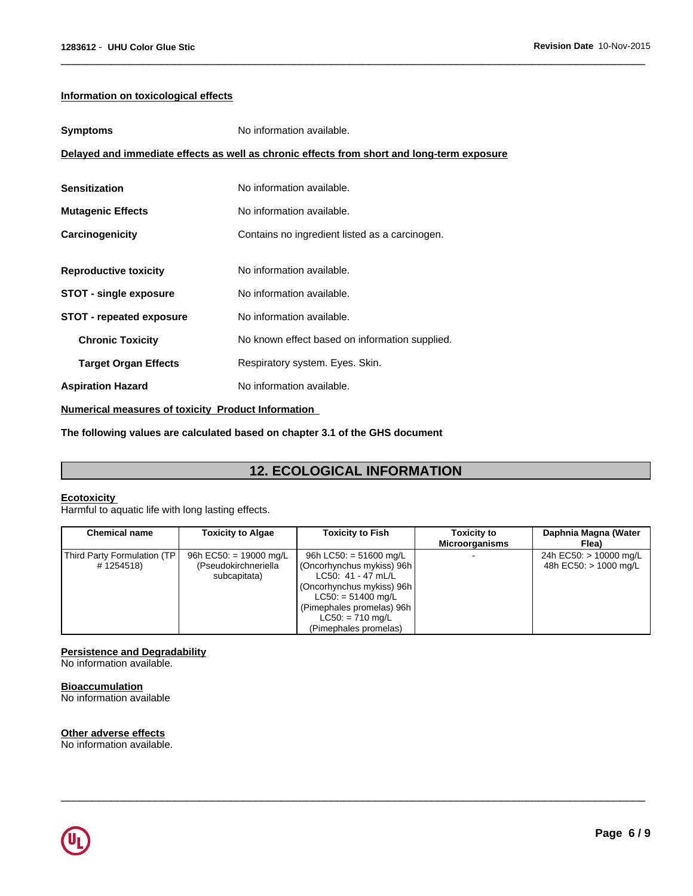### **Information on toxicological effects**

| <b>Symptoms</b>                 | No information available.                                                                  |
|---------------------------------|--------------------------------------------------------------------------------------------|
|                                 | Delayed and immediate effects as well as chronic effects from short and long-term exposure |
| <b>Sensitization</b>            | No information available.                                                                  |
| <b>Mutagenic Effects</b>        | No information available.                                                                  |
| Carcinogenicity                 | Contains no ingredient listed as a carcinogen.                                             |
|                                 |                                                                                            |
| <b>Reproductive toxicity</b>    | No information available.                                                                  |
| STOT - single exposure          | No information available.                                                                  |
| <b>STOT - repeated exposure</b> | No information available.                                                                  |
| <b>Chronic Toxicity</b>         | No known effect based on information supplied.                                             |
| <b>Target Organ Effects</b>     | Respiratory system. Eyes. Skin.                                                            |
| <b>Aspiration Hazard</b>        | No information available.                                                                  |

**Numerical measures of toxicity Product Information** 

**The following values are calculated based on chapter 3.1 of the GHS document**

# **12. ECOLOGICAL INFORMATION**

 $\overline{\phantom{a}}$  ,  $\overline{\phantom{a}}$  ,  $\overline{\phantom{a}}$  ,  $\overline{\phantom{a}}$  ,  $\overline{\phantom{a}}$  ,  $\overline{\phantom{a}}$  ,  $\overline{\phantom{a}}$  ,  $\overline{\phantom{a}}$  ,  $\overline{\phantom{a}}$  ,  $\overline{\phantom{a}}$  ,  $\overline{\phantom{a}}$  ,  $\overline{\phantom{a}}$  ,  $\overline{\phantom{a}}$  ,  $\overline{\phantom{a}}$  ,  $\overline{\phantom{a}}$  ,  $\overline{\phantom{a}}$ 

### **Ecotoxicity**

Harmful to aquatic life with long lasting effects.

| <b>Chemical name</b>                       | <b>Toxicity to Algae</b>                                       | <b>Toxicity to Fish</b>                                                                                                                                                                                      | <b>Toxicity to</b><br><b>Microorganisms</b> | Daphnia Magna (Water<br>Flea)                   |
|--------------------------------------------|----------------------------------------------------------------|--------------------------------------------------------------------------------------------------------------------------------------------------------------------------------------------------------------|---------------------------------------------|-------------------------------------------------|
| Third Party Formulation (TP)<br># 1254518) | 96h EC50: = 19000 mg/L<br>(Pseudokirchneriella<br>subcapitata) | 96h LC50: = 51600 mg/L<br>(Oncorhynchus mykiss) 96h<br>$LC50: 41 - 47$ mL/L<br>(Oncorhynchus mykiss) 96h<br>$LC50: = 51400$ mg/L<br>(Pimephales promelas) 96h<br>$LC50: = 710$ mg/L<br>(Pimephales promelas) |                                             | 24h EC50: > 10000 mg/L<br>48h EC50: > 1000 mg/L |

 $\overline{\phantom{a}}$  ,  $\overline{\phantom{a}}$  ,  $\overline{\phantom{a}}$  ,  $\overline{\phantom{a}}$  ,  $\overline{\phantom{a}}$  ,  $\overline{\phantom{a}}$  ,  $\overline{\phantom{a}}$  ,  $\overline{\phantom{a}}$  ,  $\overline{\phantom{a}}$  ,  $\overline{\phantom{a}}$  ,  $\overline{\phantom{a}}$  ,  $\overline{\phantom{a}}$  ,  $\overline{\phantom{a}}$  ,  $\overline{\phantom{a}}$  ,  $\overline{\phantom{a}}$  ,  $\overline{\phantom{a}}$ 

### **Persistence and Degradability**

No information available.

**Bioaccumulation** No information available

### **Other adverse effects**

No information available.

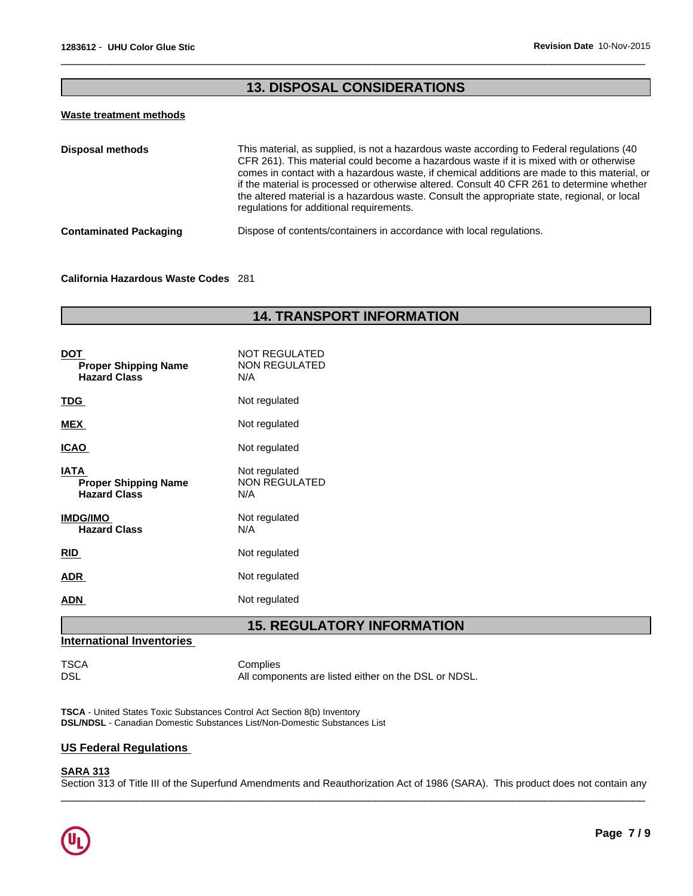# **13. DISPOSAL CONSIDERATIONS**

 $\overline{\phantom{a}}$  ,  $\overline{\phantom{a}}$  ,  $\overline{\phantom{a}}$  ,  $\overline{\phantom{a}}$  ,  $\overline{\phantom{a}}$  ,  $\overline{\phantom{a}}$  ,  $\overline{\phantom{a}}$  ,  $\overline{\phantom{a}}$  ,  $\overline{\phantom{a}}$  ,  $\overline{\phantom{a}}$  ,  $\overline{\phantom{a}}$  ,  $\overline{\phantom{a}}$  ,  $\overline{\phantom{a}}$  ,  $\overline{\phantom{a}}$  ,  $\overline{\phantom{a}}$  ,  $\overline{\phantom{a}}$ 

#### **Waste treatment methods**

| This material, as supplied, is not a hazardous waste according to Federal regulations (40<br>CFR 261). This material could become a hazardous waste if it is mixed with or otherwise<br>comes in contact with a hazardous waste, if chemical additions are made to this material, or<br>if the material is processed or otherwise altered. Consult 40 CFR 261 to determine whether<br>the altered material is a hazardous waste. Consult the appropriate state, regional, or local<br>regulations for additional requirements. |
|--------------------------------------------------------------------------------------------------------------------------------------------------------------------------------------------------------------------------------------------------------------------------------------------------------------------------------------------------------------------------------------------------------------------------------------------------------------------------------------------------------------------------------|
| Dispose of contents/containers in accordance with local regulations.                                                                                                                                                                                                                                                                                                                                                                                                                                                           |
|                                                                                                                                                                                                                                                                                                                                                                                                                                                                                                                                |

#### **California Hazardous Waste Codes** 281

# **14. TRANSPORT INFORMATION**

| <b>DOT</b><br><b>Proper Shipping Name</b><br><b>Hazard Class</b>  | NOT REGULATED<br><b>NON REGULATED</b><br>N/A |
|-------------------------------------------------------------------|----------------------------------------------|
| <u>TDG</u>                                                        | Not regulated                                |
| <b>MEX</b>                                                        | Not regulated                                |
| <b>ICAO</b>                                                       | Not regulated                                |
| <b>IATA</b><br><b>Proper Shipping Name</b><br><b>Hazard Class</b> | Not regulated<br><b>NON REGULATED</b><br>N/A |
| <b>IMDG/IMO</b><br><b>Hazard Class</b>                            | Not regulated<br>N/A                         |
| <b>RID</b>                                                        | Not regulated                                |
| <b>ADR</b>                                                        | Not regulated                                |
| ADN                                                               | Not regulated                                |

# **15. REGULATORY INFORMATION**

# **International Inventories**

TSCA Complies<br>DSL Mill Compo All components are listed either on the DSL or NDSL.

**TSCA** - United States Toxic Substances Control Act Section 8(b) Inventory **DSL/NDSL** - Canadian Domestic Substances List/Non-Domestic Substances List

### **US Federal Regulations**

## **SARA 313**

Section 313 of Title III of the Superfund Amendments and Reauthorization Act of 1986 (SARA). This product does not contain any

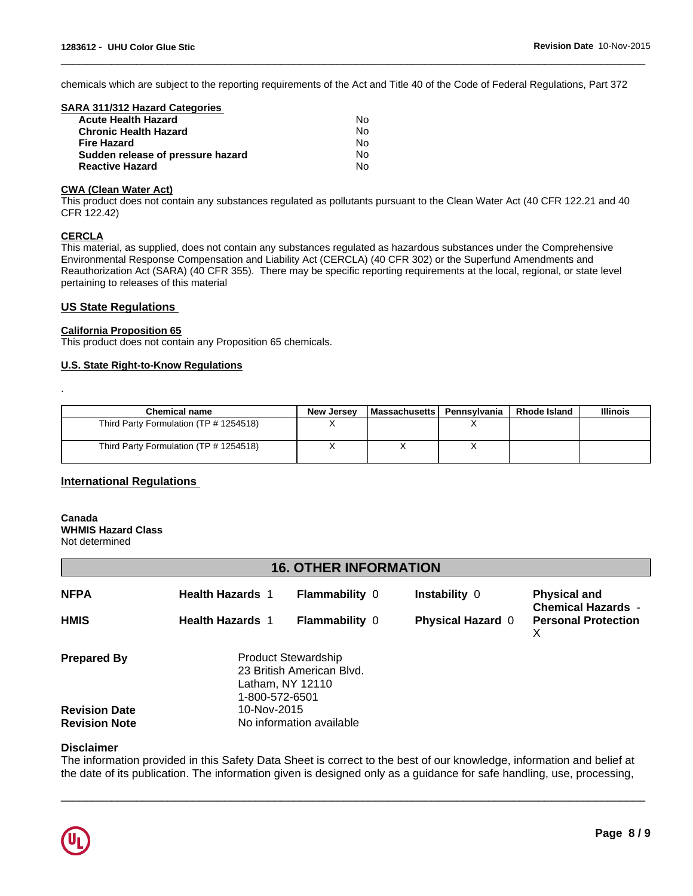chemicals which are subject to the reporting requirements of the Act and Title 40 of the Code of Federal Regulations, Part 372

 $\overline{\phantom{a}}$  ,  $\overline{\phantom{a}}$  ,  $\overline{\phantom{a}}$  ,  $\overline{\phantom{a}}$  ,  $\overline{\phantom{a}}$  ,  $\overline{\phantom{a}}$  ,  $\overline{\phantom{a}}$  ,  $\overline{\phantom{a}}$  ,  $\overline{\phantom{a}}$  ,  $\overline{\phantom{a}}$  ,  $\overline{\phantom{a}}$  ,  $\overline{\phantom{a}}$  ,  $\overline{\phantom{a}}$  ,  $\overline{\phantom{a}}$  ,  $\overline{\phantom{a}}$  ,  $\overline{\phantom{a}}$ 

| SARA 311/312 Hazard Categories    |    |  |
|-----------------------------------|----|--|
| <b>Acute Health Hazard</b>        | N٥ |  |
| <b>Chronic Health Hazard</b>      | No |  |
| <b>Fire Hazard</b>                | No |  |
| Sudden release of pressure hazard | No |  |
| <b>Reactive Hazard</b>            | N٥ |  |
|                                   |    |  |

#### **CWA (Clean Water Act)**

This product does not contain any substances regulated as pollutants pursuant to the Clean Water Act (40 CFR 122.21 and 40 CFR 122.42)

### **CERCLA**

.

This material, as supplied, does not contain any substances regulated as hazardous substances under the Comprehensive Environmental Response Compensation and Liability Act (CERCLA) (40 CFR 302) or the Superfund Amendments and Reauthorization Act (SARA) (40 CFR 355). There may be specific reporting requirements at the local, regional, or state level pertaining to releases of this material

#### **US State Regulations**

#### **California Proposition 65**

This product does not contain any Proposition 65 chemicals.

#### **U.S. State Right-to-Know Regulations**

| <b>Chemical name</b>                   | New Jersev | l Massachusetts I | Pennsvlvania | <b>Rhode Island</b> | <b>Illinois</b> |
|----------------------------------------|------------|-------------------|--------------|---------------------|-----------------|
| Third Party Formulation (TP # 1254518) |            |                   |              |                     |                 |
| Third Party Formulation (TP # 1254518) |            |                   |              |                     |                 |

### **International Regulations**

# **Canada WHMIS Hazard Class**

Not determined

## **16. OTHER INFORMATION**

| <b>NFPA</b>                                  | <b>Health Hazards 1</b>       | <b>Flammability 0</b>                                   | <b>Instability 0</b>     | <b>Physical and</b><br><b>Chemical Hazards -</b> |
|----------------------------------------------|-------------------------------|---------------------------------------------------------|--------------------------|--------------------------------------------------|
| <b>HMIS</b>                                  | <b>Health Hazards 1</b>       | <b>Flammability 0</b>                                   | <b>Physical Hazard 0</b> | <b>Personal Protection</b><br>X.                 |
| <b>Prepared By</b>                           | Latham, NY 12110              | <b>Product Stewardship</b><br>23 British American Blvd. |                          |                                                  |
| <b>Revision Date</b><br><b>Revision Note</b> | 1-800-572-6501<br>10-Nov-2015 | No information available                                |                          |                                                  |

### **Disclaimer**

The information provided in this Safety Data Sheet is correct to the best of our knowledge, information and belief at the date of its publication. The information given is designed only as a guidance for safe handling, use, processing,